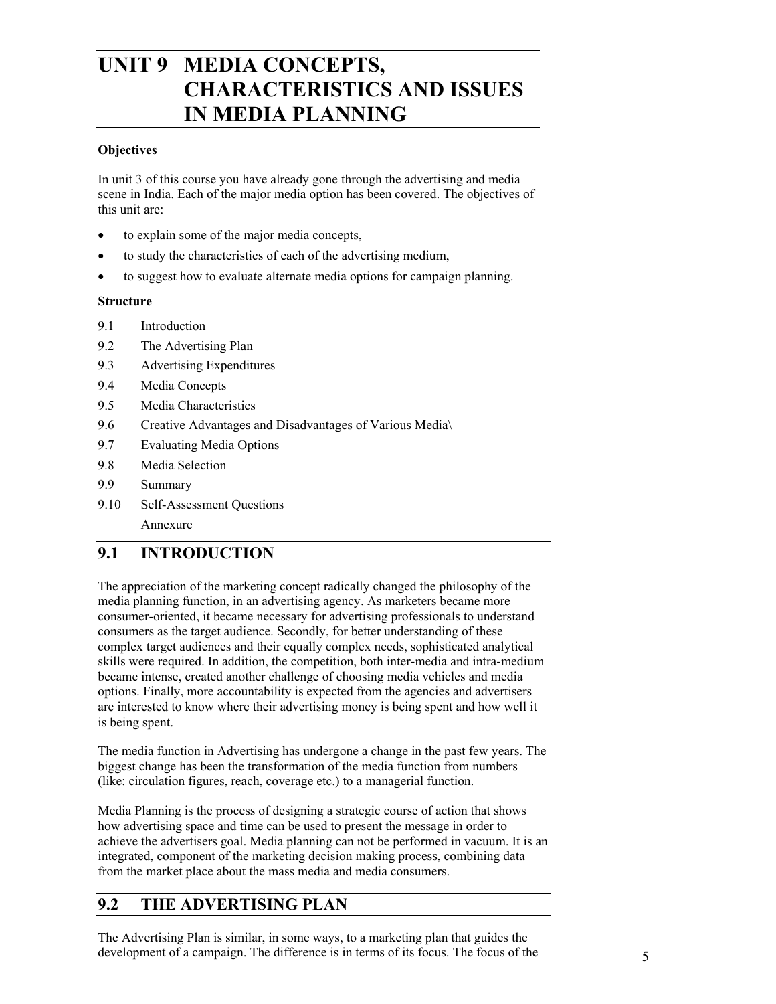# **UNIT 9 MEDIA CONCEPTS, CHARACTERISTICS AND ISSUES IN MEDIA PLANNING**

#### **Objectives**

In unit 3 of this course you have already gone through the advertising and media scene in India. Each of the major media option has been covered. The objectives of this unit are:

- to explain some of the major media concepts,
- to study the characteristics of each of the advertising medium,
- to suggest how to evaluate alternate media options for campaign planning.

#### **Structure**

- 9.1 Introduction
- 9.2 The Advertising Plan
- 9.3 Advertising Expenditures
- 9.4 Media Concepts
- 9.5 Media Characteristics
- 9.6 Creative Advantages and Disadvantages of Various Media\
- 9.7 Evaluating Media Options
- 9.8 Media Selection
- 9.9 Summary
- 9.10 Self-Assessment Questions

Annexure

# **9.1 INTRODUCTION**

The appreciation of the marketing concept radically changed the philosophy of the media planning function, in an advertising agency. As marketers became more consumer-oriented, it became necessary for advertising professionals to understand consumers as the target audience. Secondly, for better understanding of these complex target audiences and their equally complex needs, sophisticated analytical skills were required. In addition, the competition, both inter-media and intra-medium became intense, created another challenge of choosing media vehicles and media options. Finally, more accountability is expected from the agencies and advertisers are interested to know where their advertising money is being spent and how well it is being spent.

The media function in Advertising has undergone a change in the past few years. The biggest change has been the transformation of the media function from numbers (like: circulation figures, reach, coverage etc.) to a managerial function.

Media Planning is the process of designing a strategic course of action that shows how advertising space and time can be used to present the message in order to achieve the advertisers goal. Media planning can not be performed in vacuum. It is an integrated, component of the marketing decision making process, combining data from the market place about the mass media and media consumers.

# **9.2 THE ADVERTISING PLAN**

The Advertising Plan is similar, in some ways, to a marketing plan that guides the development of a campaign. The difference is in terms of its focus. The focus of the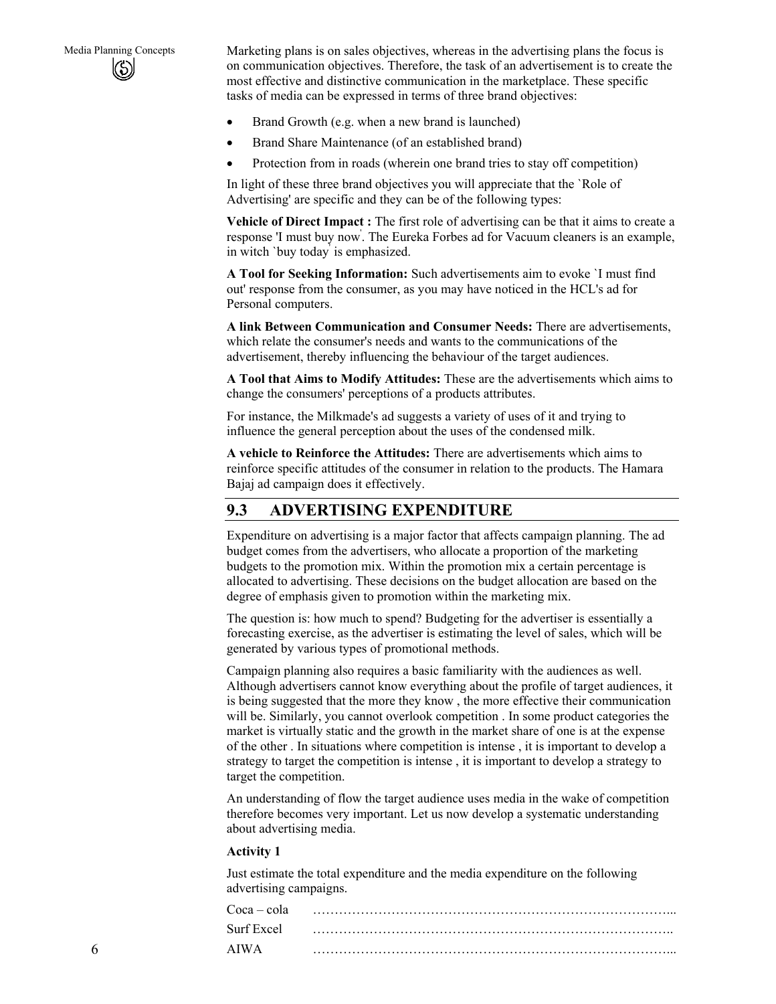Media Planning Concepts Marketing plans is on sales objectives, whereas in the advertising plans the focus is on communication objectives. Therefore, the task of an advertisement is to create the most effective and distinctive communication in the marketplace. These specific tasks of media can be expressed in terms of three brand objectives:

- Brand Growth (e.g. when a new brand is launched)
- Brand Share Maintenance (of an established brand)
- Protection from in roads (wherein one brand tries to stay off competition)

In light of these three brand objectives you will appreciate that the `Role of Advertising' are specific and they can be of the following types:

**Vehicle of Direct Impact :** The first role of advertising can be that it aims to create a response 'I must buy now' . The Eureka Forbes ad for Vacuum cleaners is an example, in witch `buy today' is emphasized.

**A Tool for Seeking Information:** Such advertisements aim to evoke `I must find out' response from the consumer, as you may have noticed in the HCL's ad for Personal computers.

**A link Between Communication and Consumer Needs:** There are advertisements, which relate the consumer's needs and wants to the communications of the advertisement, thereby influencing the behaviour of the target audiences.

**A Tool that Aims to Modify Attitudes:** These are the advertisements which aims to change the consumers' perceptions of a products attributes.

For instance, the Milkmade's ad suggests a variety of uses of it and trying to influence the general perception about the uses of the condensed milk.

**A vehicle to Reinforce the Attitudes:** There are advertisements which aims to reinforce specific attitudes of the consumer in relation to the products. The Hamara Bajaj ad campaign does it effectively.

## **9.3 ADVERTISING EXPENDITURE**

Expenditure on advertising is a major factor that affects campaign planning. The ad budget comes from the advertisers, who allocate a proportion of the marketing budgets to the promotion mix. Within the promotion mix a certain percentage is allocated to advertising. These decisions on the budget allocation are based on the degree of emphasis given to promotion within the marketing mix.

The question is: how much to spend? Budgeting for the advertiser is essentially a forecasting exercise, as the advertiser is estimating the level of sales, which will be generated by various types of promotional methods.

Campaign planning also requires a basic familiarity with the audiences as well. Although advertisers cannot know everything about the profile of target audiences, it is being suggested that the more they know , the more effective their communication will be. Similarly, you cannot overlook competition . In some product categories the market is virtually static and the growth in the market share of one is at the expense of the other . In situations where competition is intense , it is important to develop a strategy to target the competition is intense , it is important to develop a strategy to target the competition.

An understanding of flow the target audience uses media in the wake of competition therefore becomes very important. Let us now develop a systematic understanding about advertising media.

#### **Activity 1**

Just estimate the total expenditure and the media expenditure on the following advertising campaigns.

| Coca – cola |  |
|-------------|--|
| Surf Excel  |  |
| AIWA        |  |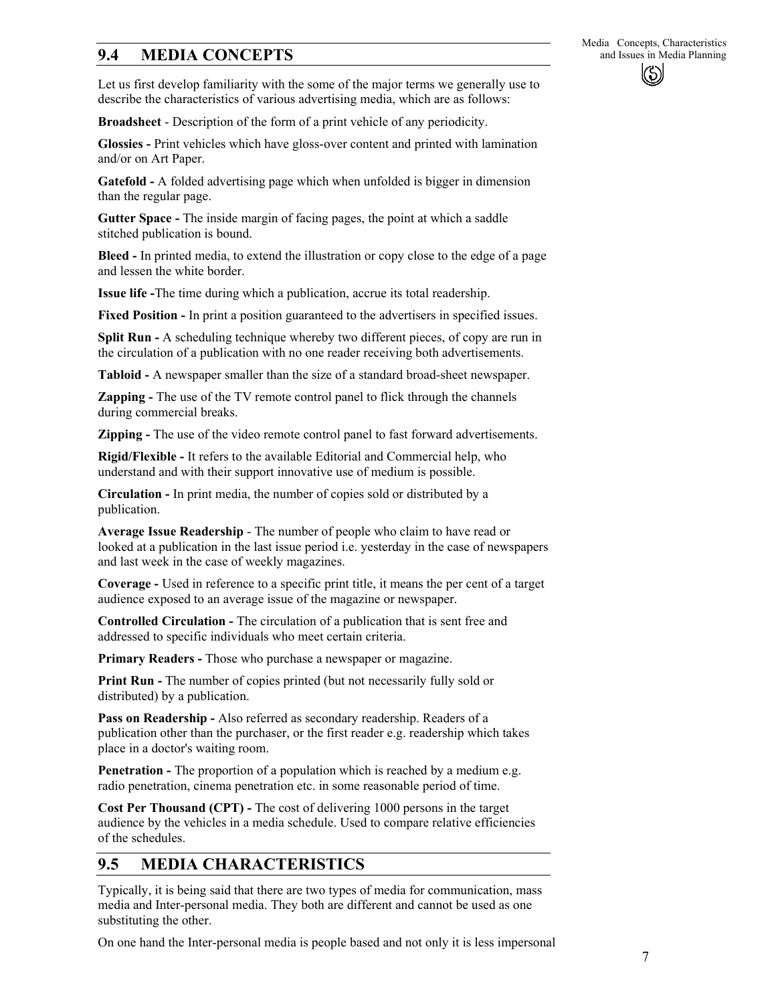# **9.4 MEDIA CONCEPTS** and Issues in Media Planning

Let us first develop familiarity with the some of the major terms we generally use to describe the characteristics of various advertising media, which are as follows:

**Broadsheet** - Description of the form of a print vehicle of any periodicity.

**Glossies -** Print vehicles which have gloss-over content and printed with lamination and/or on Art Paper.

**Gatefold -** A folded advertising page which when unfolded is bigger in dimension than the regular page.

**Gutter Space -** The inside margin of facing pages, the point at which a saddle stitched publication is bound.

**Bleed -** In printed media, to extend the illustration or copy close to the edge of a page and lessen the white border.

**Issue life -**The time during which a publication, accrue its total readership.

**Fixed Position -** In print a position guaranteed to the advertisers in specified issues.

**Split Run -** A scheduling technique whereby two different pieces, of copy are run in the circulation of a publication with no one reader receiving both advertisements.

**Tabloid -** A newspaper smaller than the size of a standard broad-sheet newspaper.

**Zapping -** The use of the TV remote control panel to flick through the channels during commercial breaks.

**Zipping -** The use of the video remote control panel to fast forward advertisements.

**Rigid/Flexible -** It refers to the available Editorial and Commercial help, who understand and with their support innovative use of medium is possible.

**Circulation -** In print media, the number of copies sold or distributed by a publication.

**Average Issue Readership** - The number of people who claim to have read or looked at a publication in the last issue period i.e. yesterday in the case of newspapers and last week in the case of weekly magazines.

**Coverage -** Used in reference to a specific print title, it means the per cent of a target audience exposed to an average issue of the magazine or newspaper.

**Controlled Circulation -** The circulation of a publication that is sent free and addressed to specific individuals who meet certain criteria.

**Primary Readers -** Those who purchase a newspaper or magazine.

**Print Run -** The number of copies printed (but not necessarily fully sold or distributed) by a publication.

**Pass on Readership -** Also referred as secondary readership. Readers of a publication other than the purchaser, or the first reader e.g. readership which takes place in a doctor's waiting room.

**Penetration -** The proportion of a population which is reached by a medium e.g. radio penetration, cinema penetration etc. in some reasonable period of time.

**Cost Per Thousand (CPT) -** The cost of delivering 1000 persons in the target audience by the vehicles in a media schedule. Used to compare relative efficiencies of the schedules.

## **9.5 MEDIA CHARACTERISTICS**

Typically, it is being said that there are two types of media for communication, mass media and Inter-personal media. They both are different and cannot be used as one substituting the other.

On one hand the Inter-personal media is people based and not only it is less impersonal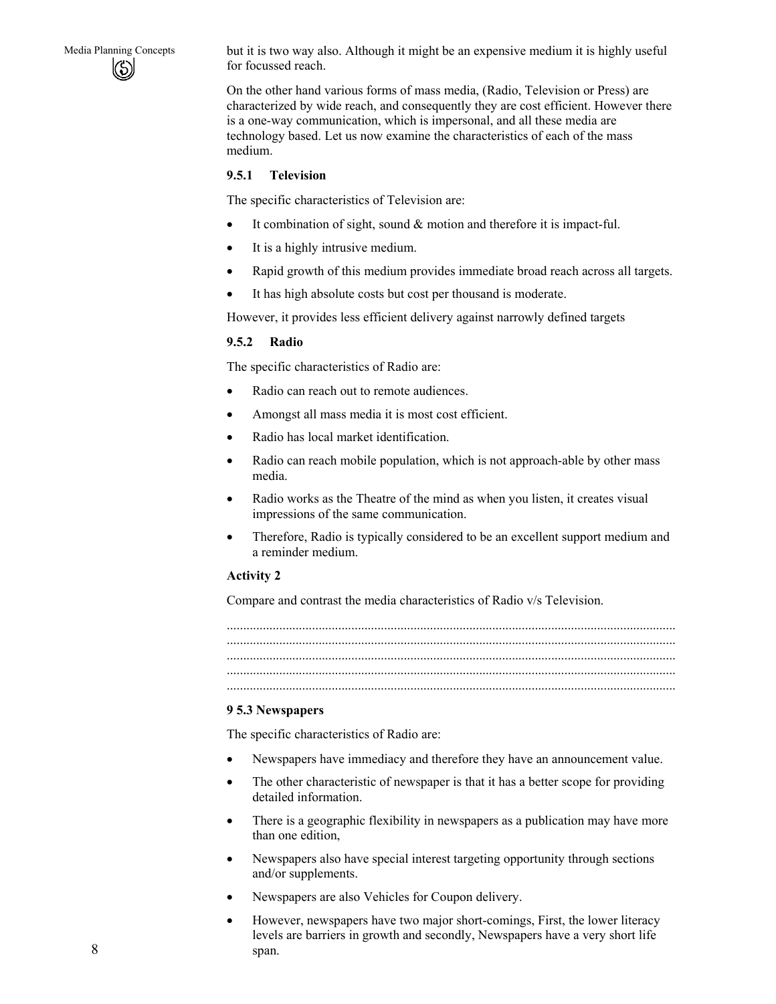Media Planning Concepts but it is two way also. Although it might be an expensive medium it is highly useful for focussed reach.

> On the other hand various forms of mass media, (Radio, Television or Press) are characterized by wide reach, and consequently they are cost efficient. However there is a one-way communication, which is impersonal, and all these media are technology based. Let us now examine the characteristics of each of the mass medium.

#### **9.5.1 Television**

The specific characteristics of Television are:

- It combination of sight, sound  $&$  motion and therefore it is impact-ful.
- It is a highly intrusive medium.
- Rapid growth of this medium provides immediate broad reach across all targets.
- It has high absolute costs but cost per thousand is moderate.

However, it provides less efficient delivery against narrowly defined targets

#### **9.5.2 Radio**

The specific characteristics of Radio are:

- Radio can reach out to remote audiences.
- Amongst all mass media it is most cost efficient.
- Radio has local market identification.
- Radio can reach mobile population, which is not approach-able by other mass media.
- Radio works as the Theatre of the mind as when you listen, it creates visual impressions of the same communication.
- Therefore, Radio is typically considered to be an excellent support medium and a reminder medium.

#### **Activity 2**

Compare and contrast the media characteristics of Radio v/s Television.

......................................................................................................................................... ......................................................................................................................................... ......................................................................................................................................... ......................................................................................................................................... .........................................................................................................................................

#### **9 5.3 Newspapers**

The specific characteristics of Radio are:

- Newspapers have immediacy and therefore they have an announcement value.
- The other characteristic of newspaper is that it has a better scope for providing detailed information.
- There is a geographic flexibility in newspapers as a publication may have more than one edition,
- Newspapers also have special interest targeting opportunity through sections and/or supplements.
- Newspapers are also Vehicles for Coupon delivery.
- However, newspapers have two major short-comings, First, the lower literacy levels are barriers in growth and secondly, Newspapers have a very short life span.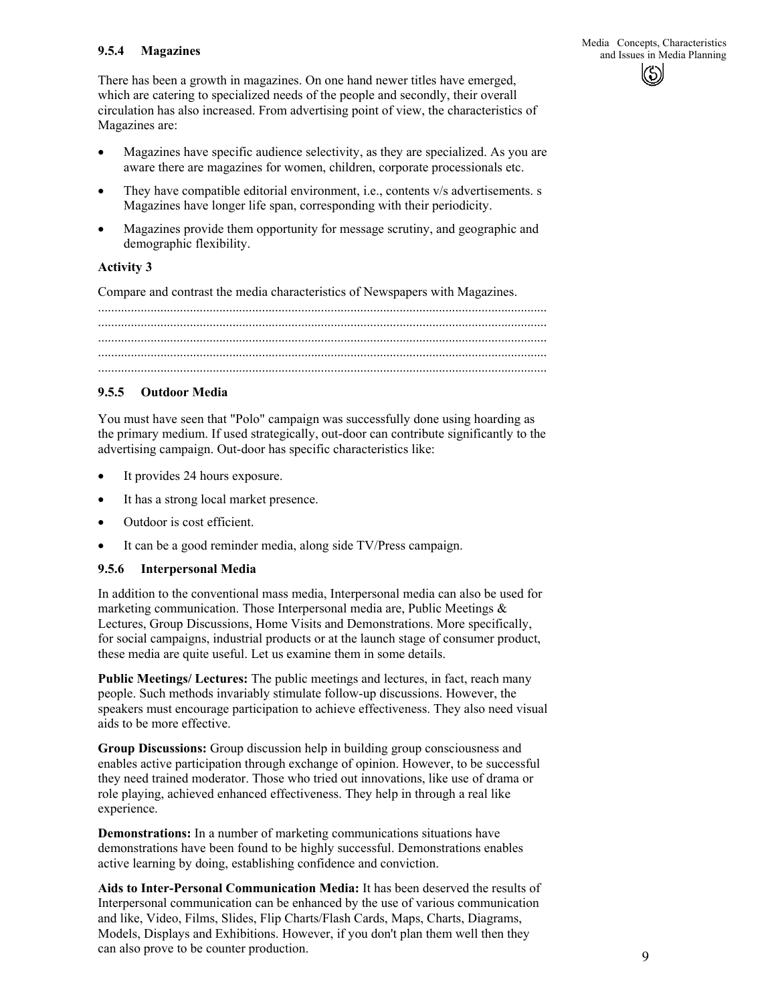There has been a growth in magazines. On one hand newer titles have emerged, which are catering to specialized needs of the people and secondly, their overall circulation has also increased. From advertising point of view, the characteristics of Magazines are:

- Magazines have specific audience selectivity, as they are specialized. As you are aware there are magazines for women, children, corporate processionals etc.
- They have compatible editorial environment, i.e., contents v/s advertisements. s Magazines have longer life span, corresponding with their periodicity.
- Magazines provide them opportunity for message scrutiny, and geographic and demographic flexibility.

#### **Activity 3**

Compare and contrast the media characteristics of Newspapers with Magazines.

......................................................................................................................................... ......................................................................................................................................... ......................................................................................................................................... ......................................................................................................................................... .........................................................................................................................................

#### **9.5.5 Outdoor Media**

You must have seen that "Polo" campaign was successfully done using hoarding as the primary medium. If used strategically, out-door can contribute significantly to the advertising campaign. Out-door has specific characteristics like:

- It provides 24 hours exposure.
- It has a strong local market presence.
- Outdoor is cost efficient.
- It can be a good reminder media, along side TV/Press campaign.

#### **9.5.6 Interpersonal Media**

In addition to the conventional mass media, Interpersonal media can also be used for marketing communication. Those Interpersonal media are, Public Meetings  $\&$ Lectures, Group Discussions, Home Visits and Demonstrations. More specifically, for social campaigns, industrial products or at the launch stage of consumer product, these media are quite useful. Let us examine them in some details.

**Public Meetings/ Lectures:** The public meetings and lectures, in fact, reach many people. Such methods invariably stimulate follow-up discussions. However, the speakers must encourage participation to achieve effectiveness. They also need visual aids to be more effective.

**Group Discussions:** Group discussion help in building group consciousness and enables active participation through exchange of opinion. However, to be successful they need trained moderator. Those who tried out innovations, like use of drama or role playing, achieved enhanced effectiveness. They help in through a real like experience.

**Demonstrations:** In a number of marketing communications situations have demonstrations have been found to be highly successful. Demonstrations enables active learning by doing, establishing confidence and conviction.

**Aids to Inter-Personal Communication Media:** It has been deserved the results of Interpersonal communication can be enhanced by the use of various communication and like, Video, Films, Slides, Flip Charts/Flash Cards, Maps, Charts, Diagrams, Models, Displays and Exhibitions. However, if you don't plan them well then they can also prove to be counter production.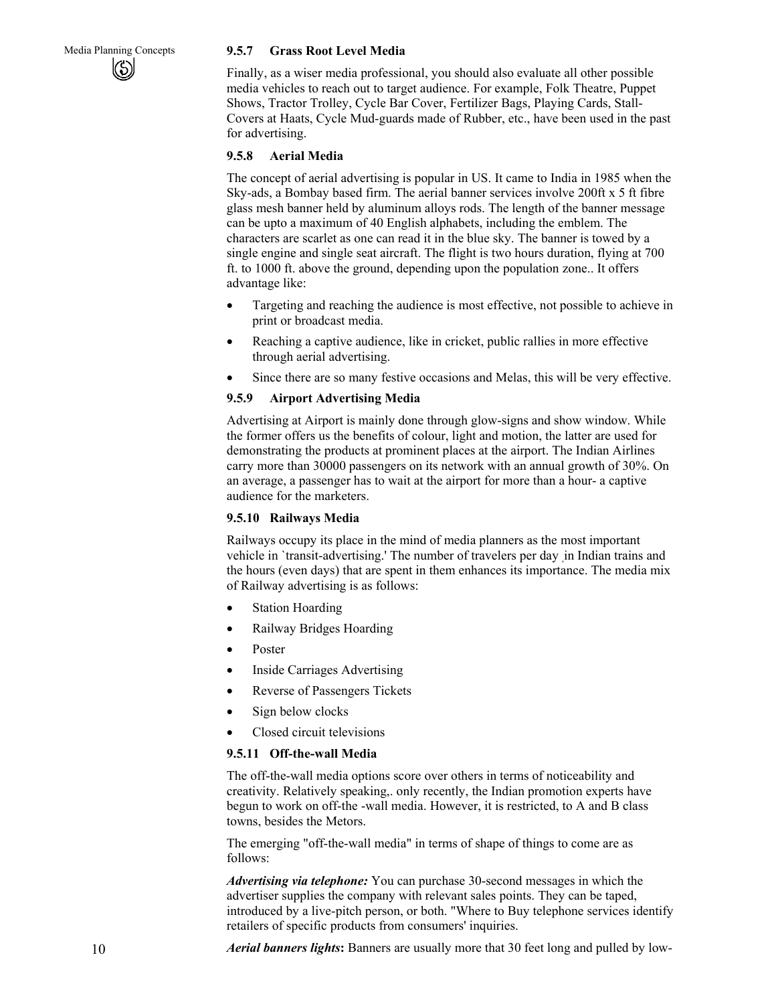#### Media Planning Concepts **9.5.7 Grass Root Level Media**

Finally, as a wiser media professional, you should also evaluate all other possible media vehicles to reach out to target audience. For example, Folk Theatre, Puppet Shows, Tractor Trolley, Cycle Bar Cover, Fertilizer Bags, Playing Cards, Stall-Covers at Haats, Cycle Mud-guards made of Rubber, etc., have been used in the past for advertising.

#### **9.5.8 Aerial Media**

The concept of aerial advertising is popular in US. It came to India in 1985 when the Sky-ads, a Bombay based firm. The aerial banner services involve 200ft x 5 ft fibre glass mesh banner held by aluminum alloys rods. The length of the banner message can be upto a maximum of 40 English alphabets, including the emblem. The characters are scarlet as one can read it in the blue sky. The banner is towed by a single engine and single seat aircraft. The flight is two hours duration, flying at 700 ft. to 1000 ft. above the ground, depending upon the population zone.. It offers advantage like:

- Targeting and reaching the audience is most effective, not possible to achieve in print or broadcast media.
- Reaching a captive audience, like in cricket, public rallies in more effective through aerial advertising.
- Since there are so many festive occasions and Melas, this will be very effective.

#### **9.5.9 Airport Advertising Media**

Advertising at Airport is mainly done through glow-signs and show window. While the former offers us the benefits of colour, light and motion, the latter are used for demonstrating the products at prominent places at the airport. The Indian Airlines carry more than 30000 passengers on its network with an annual growth of 30%. On an average, a passenger has to wait at the airport for more than a hour- a captive audience for the marketers.

#### **9.5.10 Railways Media**

Railways occupy its place in the mind of media planners as the most important vehicle in `transit-advertising.' The number of travelers per day ,in Indian trains and the hours (even days) that are spent in them enhances its importance. The media mix of Railway advertising is as follows:

- **Station Hoarding**
- Railway Bridges Hoarding
- Poster
- Inside Carriages Advertising
- Reverse of Passengers Tickets
- Sign below clocks
- Closed circuit televisions

#### **9.5.11 Off-the-wall Media**

The off-the-wall media options score over others in terms of noticeability and creativity. Relatively speaking,. only recently, the Indian promotion experts have begun to work on off-the -wall media. However, it is restricted, to A and B class towns, besides the Metors.

The emerging "off-the-wall media" in terms of shape of things to come are as follows:

*Advertising via telephone:* You can purchase 30-second messages in which the advertiser supplies the company with relevant sales points. They can be taped, introduced by a live-pitch person, or both. "Where to Buy telephone services identify retailers of specific products from consumers' inquiries.

*Aerial banners lights***:** Banners are usually more that 30 feet long and pulled by low-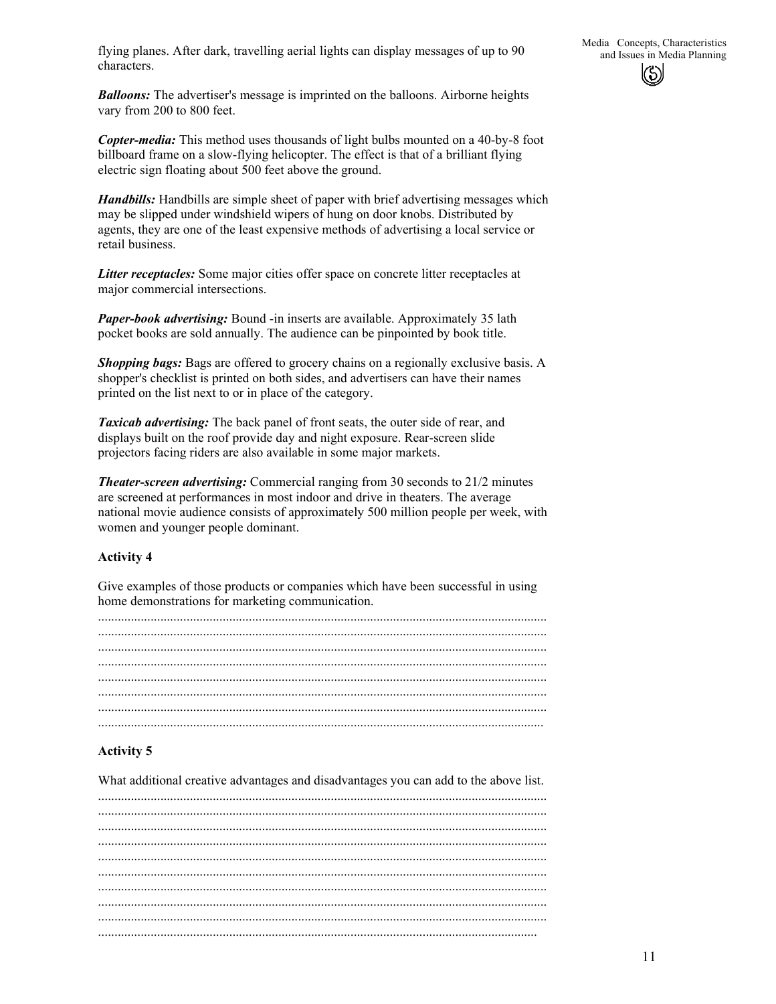flying planes. After dark, travelling aerial lights can display messages of up to 90 and Issues in Media Planning characters.

*Balloons:* The advertiser's message is imprinted on the balloons. Airborne heights vary from 200 to 800 feet.

*Copter-media:* This method uses thousands of light bulbs mounted on a 40-by-8 foot billboard frame on a slow-flying helicopter. The effect is that of a brilliant flying electric sign floating about 500 feet above the ground.

*Handbills:* Handbills are simple sheet of paper with brief advertising messages which may be slipped under windshield wipers of hung on door knobs. Distributed by agents, they are one of the least expensive methods of advertising a local service or retail business.

*Litter receptacles:* Some major cities offer space on concrete litter receptacles at major commercial intersections.

*Paper-book advertising:* Bound -in inserts are available. Approximately 35 lath pocket books are sold annually. The audience can be pinpointed by book title.

*Shopping bags:* Bags are offered to grocery chains on a regionally exclusive basis. A shopper's checklist is printed on both sides, and advertisers can have their names printed on the list next to or in place of the category.

*Taxicab advertising:* The back panel of front seats, the outer side of rear, and displays built on the roof provide day and night exposure. Rear-screen slide projectors facing riders are also available in some major markets.

*Theater-screen advertising:* Commercial ranging from 30 seconds to 21/2 minutes are screened at performances in most indoor and drive in theaters. The average national movie audience consists of approximately 500 million people per week, with women and younger people dominant.

### **Activity 4**

Give examples of those products or companies which have been successful in using home demonstrations for marketing communication.

#### **Activity 5**

What additional creative advantages and disadvantages you can add to the above list.

......................................................................................................................................... ......................................................................................................................................... ......................................................................................................................................... ......................................................................................................................................... ......................................................................................................................................... ......................................................................................................................................... ......................................................................................................................................... ......................................................................................................................................... ......................................................................................................................................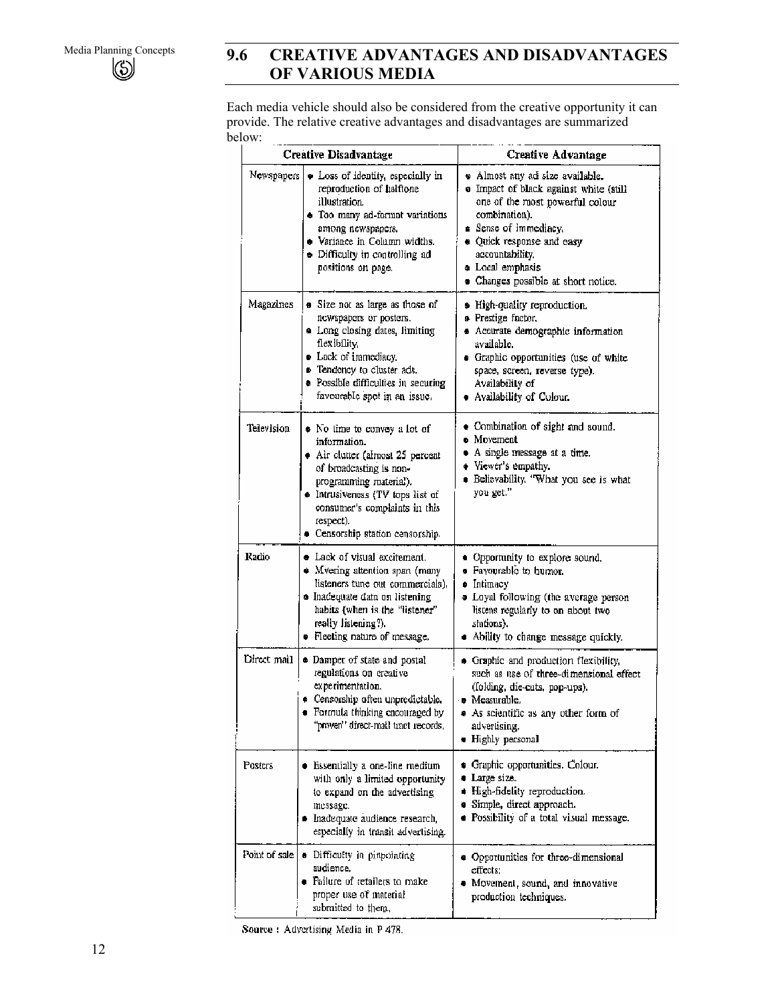# Media Planning Concepts **9.6 CREATIVE ADVANTAGES AND DISADVANTAGES OF VARIOUS MEDIA**

Each media vehicle should also be considered from the creative opportunity it can provide. The relative creative advantages and disadvantages are summarized below:

|               | <b>Creative Disadvantage</b>                                                                                                                                                                                                                                  | <b>Creative Advantage</b>                                                                                                                                                                                                                                       |
|---------------|---------------------------------------------------------------------------------------------------------------------------------------------------------------------------------------------------------------------------------------------------------------|-----------------------------------------------------------------------------------------------------------------------------------------------------------------------------------------------------------------------------------------------------------------|
| Newspapers    | . Loss of identity, especially in<br>reproduction of halftone<br>illustration.<br>· Too many ad-format variations<br>among newspapers.<br>. Variance in Column widths.<br>• Difficulty in controlling ad<br>positions on page.                                | · Almost any ad size available.<br>. Impact of black against white (still<br>one of the most powerful colour<br>combination).<br>Sense of immediacy.<br>* Quick response and easy<br>accountability,<br>a Local emphasis<br>· Changes possible at short notice. |
| Magazines     | <b>a</b> Size not as large as those of<br>newspapers or posters.<br>• Long closing dates, limiting<br>flexibility.<br>• Lack of immediacy.<br><b>E</b> Tendency to cluster ads.<br><b>•</b> Possible difficulties in securing<br>favourable spot in an issue. | · High-quality reproduction.<br><b>a</b> Prestige factor,<br><b>Accurate demographic information</b><br>available.<br>· Graphic opportunities (use of white<br>space, screen, reverse type).<br>Availability of<br>· Availability of Colour.                    |
| Television    | • No time to convey a lot of<br>information.<br>Air clutter (almost 25 percent<br>of broadcasting is non-<br>programming material).<br>· Intrusiveness (TV tops list of<br>consumer's complaints in this<br>respect).<br>· Censorship station censorship.     | · Combination of sight and sound.<br>$\bullet$ Movement<br>• A single message at a time.<br>• Viewer's empathy.<br>· Believability. "What you see is what<br>you get."                                                                                          |
| Radio         | • Lack of visual excitement.<br>• Mvering attention span (many<br>listeners tune out commercials).<br><b>·</b> Inadequate data on listening<br>habits (when is the "listener"<br>really listening?).<br>· Fleeting nature of message.                         | • Opportunity to explore sound.<br><b>• Favourable to humor.</b><br>o Intimacy<br>· Loyal following (the average person<br>listens regularly to on about two<br>stations).<br>. Ability to change message quickly.                                              |
| Direct mail   | · Damper of state and postal<br>regulations on creative<br>experimentation.<br><b>e</b> Censorship often unpredictable.<br>· Formula thinking encouraged by<br>"proven" direct-mail tract records,                                                            | • Graphic and production flexibility,<br>such as use of three-dimensional effect<br>(folding, die-cuts, pop-ups).<br>• Measurable.<br>• As scientific as any other form of<br>advertising.<br><b>·</b> Highly personal                                          |
| Posters       | $\bullet$ Essentially a one-line medium<br>with only a limited opportunity<br>to expand on the advertising<br>message.<br>· Inadequate audience research,<br>especially in transit advertising.                                                               | • Graphic opportunities. Colour.<br><b>U</b> Large size.<br>· High-fidelity reproduction.<br>· Simple, direct approach.<br>· Possibility of a total visual message.                                                                                             |
| Point of sale | • Difficulty in pinpointing<br>audience.<br>• Failure of retailers to make<br>proper use of material<br>submitted to them,                                                                                                                                    | • Opportunities for three-dimensional<br>effects:<br>· Movement, sound, and innovative<br>production techniques.                                                                                                                                                |

Source: Advertising Media in P 478.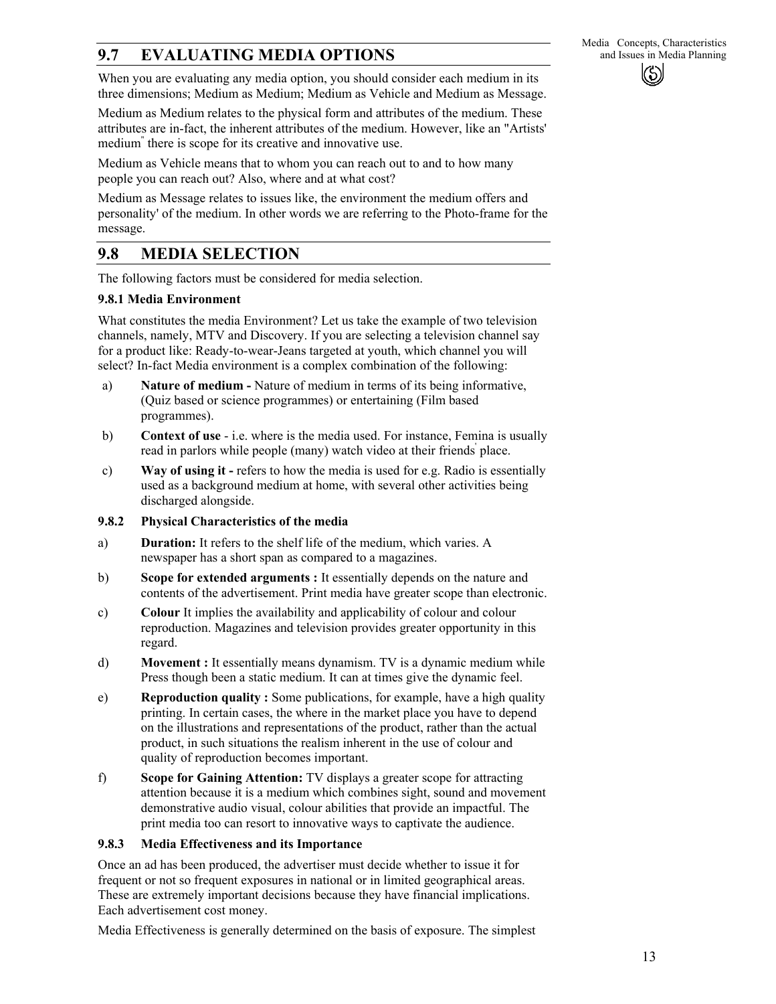# **9.7 EVALUATING MEDIA OPTIONS** and Issues in Media Planning

When you are evaluating any media option, you should consider each medium in its three dimensions; Medium as Medium; Medium as Vehicle and Medium as Message.

Medium as Medium relates to the physical form and attributes of the medium. These attributes are in-fact, the inherent attributes of the medium. However, like an "Artists' medium" there is scope for its creative and innovative use.

Medium as Vehicle means that to whom you can reach out to and to how many people you can reach out? Also, where and at what cost?

Medium as Message relates to issues like, the environment the medium offers and personality' of the medium. In other words we are referring to the Photo-frame for the message.

# **9.8 MEDIA SELECTION**

The following factors must be considered for media selection.

### **9.8.1 Media Environment**

What constitutes the media Environment? Let us take the example of two television channels, namely, MTV and Discovery. If you are selecting a television channel say for a product like: Ready-to-wear-Jeans targeted at youth, which channel you will select? In-fact Media environment is a complex combination of the following:

- a) **Nature of medium -** Nature of medium in terms of its being informative, (Quiz based or science programmes) or entertaining (Film based programmes).
- b) **Context of use**  i.e. where is the media used. For instance, Femina is usually read in parlors while people (many) watch video at their friends place.
- c) **Way of using it -** refers to how the media is used for e.g. Radio is essentially used as a background medium at home, with several other activities being discharged alongside.

#### **9.8.2 Physical Characteristics of the media**

- a) **Duration:** It refers to the shelf life of the medium, which varies. A newspaper has a short span as compared to a magazines.
- b) **Scope for extended arguments :** It essentially depends on the nature and contents of the advertisement. Print media have greater scope than electronic.
- c) **Colour** It implies the availability and applicability of colour and colour reproduction. Magazines and television provides greater opportunity in this regard.
- d) **Movement :** It essentially means dynamism. TV is a dynamic medium while Press though been a static medium. It can at times give the dynamic feel.
- e) **Reproduction quality :** Some publications, for example, have a high quality printing. In certain cases, the where in the market place you have to depend on the illustrations and representations of the product, rather than the actual product, in such situations the realism inherent in the use of colour and quality of reproduction becomes important.
- f) **Scope for Gaining Attention:** TV displays a greater scope for attracting attention because it is a medium which combines sight, sound and movement demonstrative audio visual, colour abilities that provide an impactful. The print media too can resort to innovative ways to captivate the audience.

### **9.8.3 Media Effectiveness and its Importance**

Once an ad has been produced, the advertiser must decide whether to issue it for frequent or not so frequent exposures in national or in limited geographical areas. These are extremely important decisions because they have financial implications. Each advertisement cost money.

Media Effectiveness is generally determined on the basis of exposure. The simplest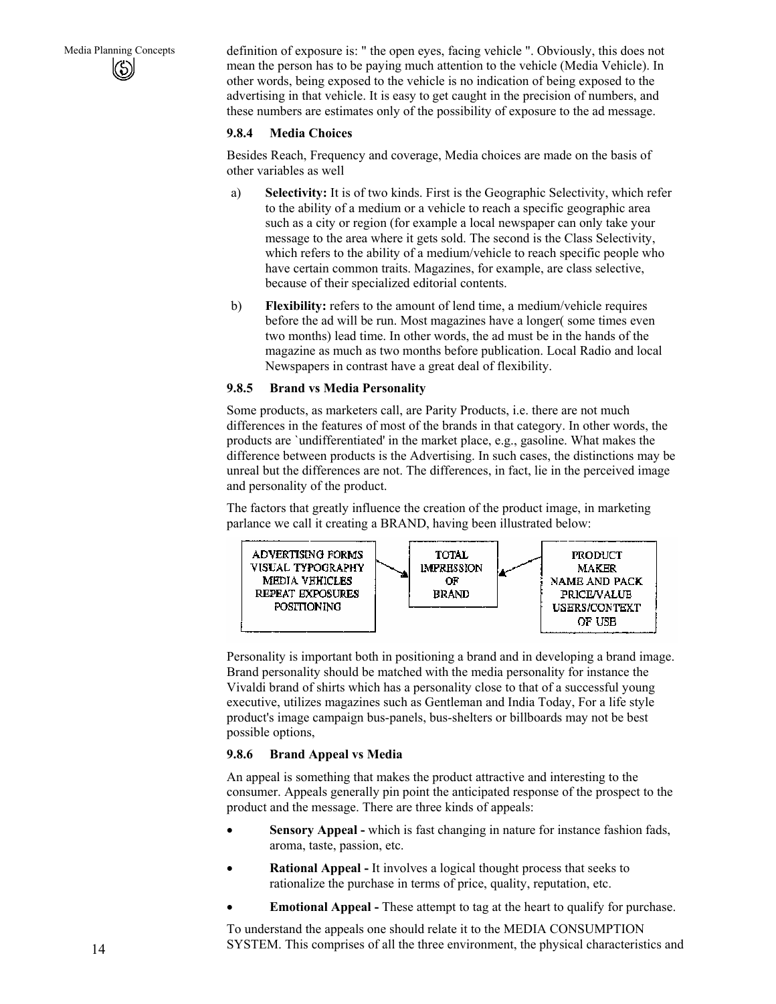Media Planning Concepts definition of exposure is: " the open eyes, facing vehicle ". Obviously, this does not mean the person has to be paying much attention to the vehicle (Media Vehicle). In other words, being exposed to the vehicle is no indication of being exposed to the advertising in that vehicle. It is easy to get caught in the precision of numbers, and these numbers are estimates only of the possibility of exposure to the ad message.

#### **9.8.4 Media Choices**

Besides Reach, Frequency and coverage, Media choices are made on the basis of other variables as well

- a) **Selectivity:** It is of two kinds. First is the Geographic Selectivity, which refer to the ability of a medium or a vehicle to reach a specific geographic area such as a city or region (for example a local newspaper can only take your message to the area where it gets sold. The second is the Class Selectivity, which refers to the ability of a medium/vehicle to reach specific people who have certain common traits. Magazines, for example, are class selective, because of their specialized editorial contents.
- b) **Flexibility:** refers to the amount of lend time, a medium/vehicle requires before the ad will be run. Most magazines have a longer( some times even two months) lead time. In other words, the ad must be in the hands of the magazine as much as two months before publication. Local Radio and local Newspapers in contrast have a great deal of flexibility.

#### **9.8.5 Brand vs Media Personality**

Some products, as marketers call, are Parity Products, i.e. there are not much differences in the features of most of the brands in that category. In other words, the products are `undifferentiated' in the market place, e.g., gasoline. What makes the difference between products is the Advertising. In such cases, the distinctions may be unreal but the differences are not. The differences, in fact, lie in the perceived image and personality of the product.

The factors that greatly influence the creation of the product image, in marketing parlance we call it creating a BRAND, having been illustrated below:



Personality is important both in positioning a brand and in developing a brand image. Brand personality should be matched with the media personality for instance the Vivaldi brand of shirts which has a personality close to that of a successful young executive, utilizes magazines such as Gentleman and India Today, For a life style product's image campaign bus-panels, bus-shelters or billboards may not be best possible options,

### **9.8.6 Brand Appeal vs Media**

An appeal is something that makes the product attractive and interesting to the consumer. Appeals generally pin point the anticipated response of the prospect to the product and the message. There are three kinds of appeals:

- **Sensory Appeal -** which is fast changing in nature for instance fashion fads, aroma, taste, passion, etc.
- **Rational Appeal -** It involves a logical thought process that seeks to rationalize the purchase in terms of price, quality, reputation, etc.
- **Emotional Appeal -** These attempt to tag at the heart to qualify for purchase.

To understand the appeals one should relate it to the MEDIA CONSUMPTION SYSTEM. This comprises of all the three environment, the physical characteristics and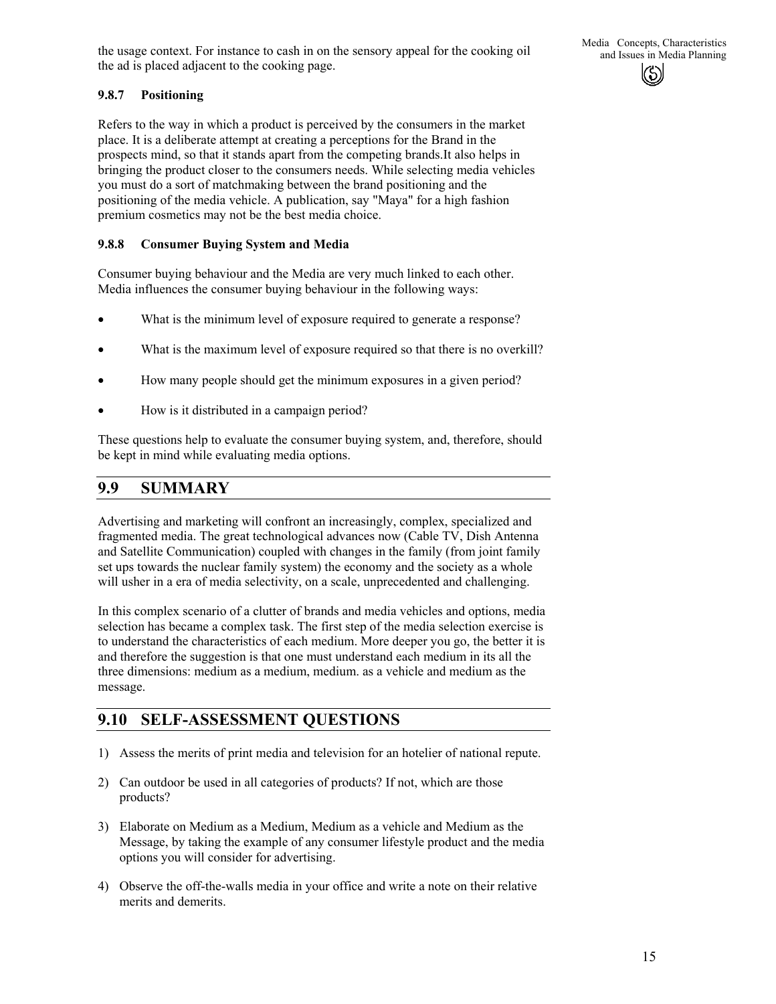the usage context. For instance to cash in on the sensory appeal for the cooking oil and Issues in Media Planning the ad is placed adjacent to the cooking page.

### **9.8.7 Positioning**

Refers to the way in which a product is perceived by the consumers in the market place. It is a deliberate attempt at creating a perceptions for the Brand in the prospects mind, so that it stands apart from the competing brands.It also helps in bringing the product closer to the consumers needs. While selecting media vehicles you must do a sort of matchmaking between the brand positioning and the positioning of the media vehicle. A publication, say "Maya" for a high fashion premium cosmetics may not be the best media choice.

#### **9.8.8 Consumer Buying System and Media**

Consumer buying behaviour and the Media are very much linked to each other. Media influences the consumer buying behaviour in the following ways:

- What is the minimum level of exposure required to generate a response?
- What is the maximum level of exposure required so that there is no overkill?
- How many people should get the minimum exposures in a given period?
- How is it distributed in a campaign period?

These questions help to evaluate the consumer buying system, and, therefore, should be kept in mind while evaluating media options.

## **9.9 SUMMARY**

Advertising and marketing will confront an increasingly, complex, specialized and fragmented media. The great technological advances now (Cable TV, Dish Antenna and Satellite Communication) coupled with changes in the family (from joint family set ups towards the nuclear family system) the economy and the society as a whole will usher in a era of media selectivity, on a scale, unprecedented and challenging.

In this complex scenario of a clutter of brands and media vehicles and options, media selection has became a complex task. The first step of the media selection exercise is to understand the characteristics of each medium. More deeper you go, the better it is and therefore the suggestion is that one must understand each medium in its all the three dimensions: medium as a medium, medium. as a vehicle and medium as the message.

# **9.10 SELF-ASSESSMENT QUESTIONS**

- 1) Assess the merits of print media and television for an hotelier of national repute.
- 2) Can outdoor be used in all categories of products? If not, which are those products?
- 3) Elaborate on Medium as a Medium, Medium as a vehicle and Medium as the Message, by taking the example of any consumer lifestyle product and the media options you will consider for advertising.
- 4) Observe the off-the-walls media in your office and write a note on their relative merits and demerits.